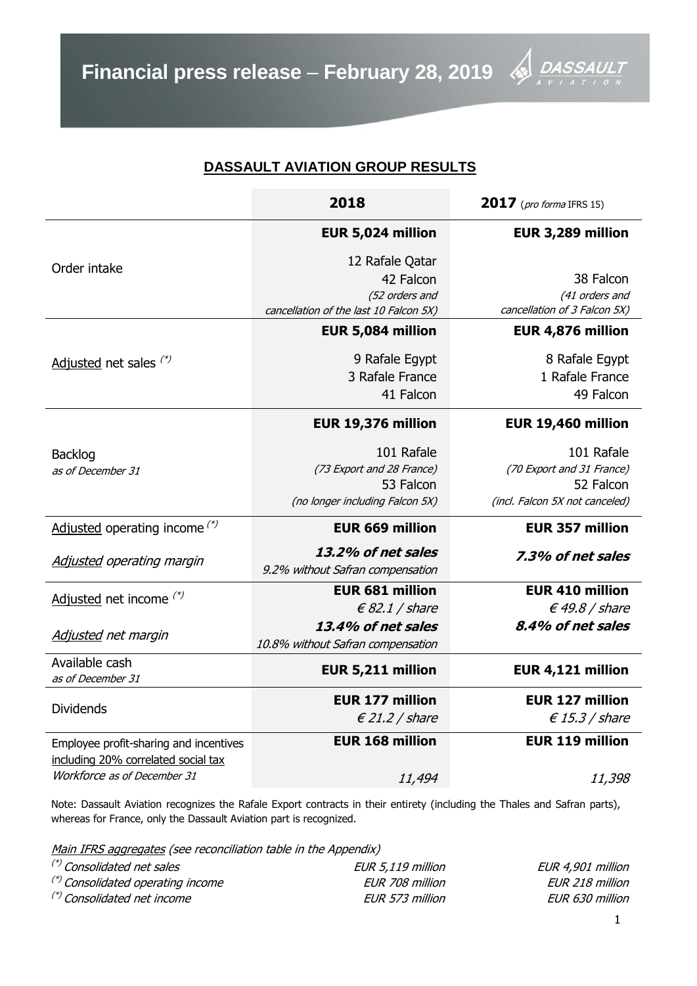# **DASSAULT AVIATION GROUP RESULTS**

|                                        | 2018                                                   | 2017 (pro forma IFRS 15)       |  |  |
|----------------------------------------|--------------------------------------------------------|--------------------------------|--|--|
|                                        | EUR 5,024 million                                      | EUR 3,289 million              |  |  |
| Order intake                           | 12 Rafale Qatar                                        |                                |  |  |
|                                        | 42 Falcon                                              | 38 Falcon                      |  |  |
|                                        | (52 orders and                                         | (41 orders and                 |  |  |
|                                        | cancellation of the last 10 Falcon 5X)                 | cancellation of 3 Falcon 5X)   |  |  |
|                                        | EUR 5,084 million                                      | EUR 4,876 million              |  |  |
| Adjusted net sales $(*)$               | 9 Rafale Egypt                                         | 8 Rafale Egypt                 |  |  |
|                                        | 3 Rafale France                                        | 1 Rafale France                |  |  |
|                                        | 41 Falcon                                              | 49 Falcon                      |  |  |
|                                        | EUR 19,376 million                                     | EUR 19,460 million             |  |  |
| <b>Backlog</b>                         | 101 Rafale                                             | 101 Rafale                     |  |  |
| as of December 31                      | (73 Export and 28 France)                              | (70 Export and 31 France)      |  |  |
|                                        | 53 Falcon                                              | 52 Falcon                      |  |  |
|                                        | (no longer including Falcon 5X)                        | (incl. Falcon 5X not canceled) |  |  |
| Adjusted operating income $(*)$        | <b>EUR 669 million</b>                                 | <b>EUR 357 million</b>         |  |  |
| <b>Adjusted operating margin</b>       | 13.2% of net sales<br>9.2% without Safran compensation | 7.3% of net sales              |  |  |
|                                        | <b>EUR 681 million</b>                                 | <b>EUR 410 million</b>         |  |  |
| Adjusted net income (*)                | $\epsilon$ 82.1 / share                                | $\epsilon$ 49.8 / share        |  |  |
| Adjusted net margin                    | 13.4% of net sales                                     | 8.4% of net sales              |  |  |
|                                        | 10.8% without Safran compensation                      |                                |  |  |
| Available cash<br>as of December 31    | EUR 5,211 million                                      | EUR 4,121 million              |  |  |
|                                        | <b>EUR 177 million</b>                                 | <b>EUR 127 million</b>         |  |  |
| <b>Dividends</b>                       | $\epsilon$ 21.2 / share                                | $\epsilon$ 15.3 / share        |  |  |
| Employee profit-sharing and incentives | <b>EUR 168 million</b>                                 | <b>EUR 119 million</b>         |  |  |
| including 20% correlated social tax    |                                                        |                                |  |  |
| Workforce as of December 31            | 11,494                                                 | 11,398                         |  |  |

Note: Dassault Aviation recognizes the Rafale Export contracts in their entirety (including the Thales and Safran parts), whereas for France, only the Dassault Aviation part is recognized.

Main IFRS aggregates (see reconciliation table in the Appendix)

| (*) Consolidated net sales        | EUR 5,119 million | EUR 4,901 million |
|-----------------------------------|-------------------|-------------------|
| (*) Consolidated operating income | EUR 708 million   | EUR 218 million   |
| (*) Consolidated net income       | EUR 573 million   | EUR 630 million   |

4 U L T

DA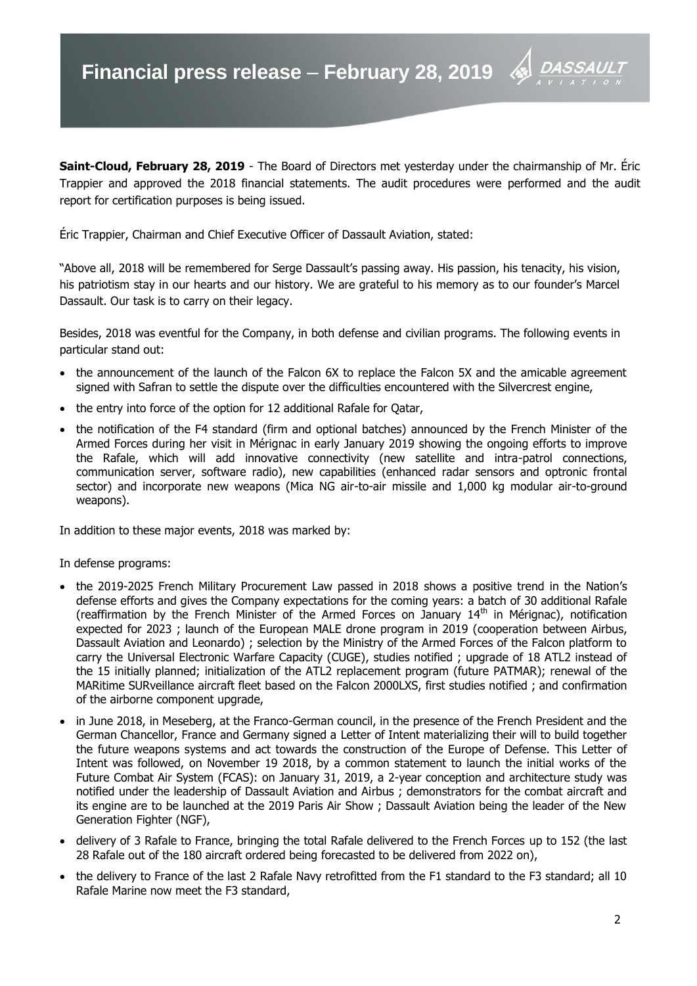**Saint-Cloud, February 28, 2019** - The Board of Directors met yesterday under the chairmanship of Mr. Éric Trappier and approved the 2018 financial statements. The audit procedures were performed and the audit report for certification purposes is being issued.

Éric Trappier, Chairman and Chief Executive Officer of Dassault Aviation, stated:

"Above all, 2018 will be remembered for Serge Dassault's passing away. His passion, his tenacity, his vision, his patriotism stay in our hearts and our history. We are grateful to his memory as to our founder's Marcel Dassault. Our task is to carry on their legacy.

Besides, 2018 was eventful for the Company, in both defense and civilian programs. The following events in particular stand out:

- the announcement of the launch of the Falcon 6X to replace the Falcon 5X and the amicable agreement signed with Safran to settle the dispute over the difficulties encountered with the Silvercrest engine,
- the entry into force of the option for 12 additional Rafale for Oatar,
- the notification of the F4 standard (firm and optional batches) announced by the French Minister of the Armed Forces during her visit in Mérignac in early January 2019 showing the ongoing efforts to improve the Rafale, which will add innovative connectivity (new satellite and intra-patrol connections, communication server, software radio), new capabilities (enhanced radar sensors and optronic frontal sector) and incorporate new weapons (Mica NG air-to-air missile and 1,000 kg modular air-to-ground weapons).

In addition to these major events, 2018 was marked by:

In defense programs:

- the 2019-2025 French Military Procurement Law passed in 2018 shows a positive trend in the Nation's defense efforts and gives the Company expectations for the coming years: a batch of 30 additional Rafale (reaffirmation by the French Minister of the Armed Forces on January  $14<sup>th</sup>$  in Mérignac), notification expected for 2023 ; launch of the European MALE drone program in 2019 (cooperation between Airbus, Dassault Aviation and Leonardo) ; selection by the Ministry of the Armed Forces of the Falcon platform to carry the Universal Electronic Warfare Capacity (CUGE), studies notified ; upgrade of 18 ATL2 instead of the 15 initially planned; initialization of the ATL2 replacement program (future PATMAR); renewal of the MARitime SURveillance aircraft fleet based on the Falcon 2000LXS, first studies notified ; and confirmation of the airborne component upgrade,
- in June 2018, in Meseberg, at the Franco-German council, in the presence of the French President and the German Chancellor, France and Germany signed a Letter of Intent materializing their will to build together the future weapons systems and act towards the construction of the Europe of Defense. This Letter of Intent was followed, on November 19 2018, by a common statement to launch the initial works of the Future Combat Air System (FCAS): on January 31, 2019, a 2-year conception and architecture study was notified under the leadership of Dassault Aviation and Airbus ; demonstrators for the combat aircraft and its engine are to be launched at the 2019 Paris Air Show ; Dassault Aviation being the leader of the New Generation Fighter (NGF),
- delivery of 3 Rafale to France, bringing the total Rafale delivered to the French Forces up to 152 (the last 28 Rafale out of the 180 aircraft ordered being forecasted to be delivered from 2022 on),
- the delivery to France of the last 2 Rafale Navy retrofitted from the F1 standard to the F3 standard; all 10 Rafale Marine now meet the F3 standard,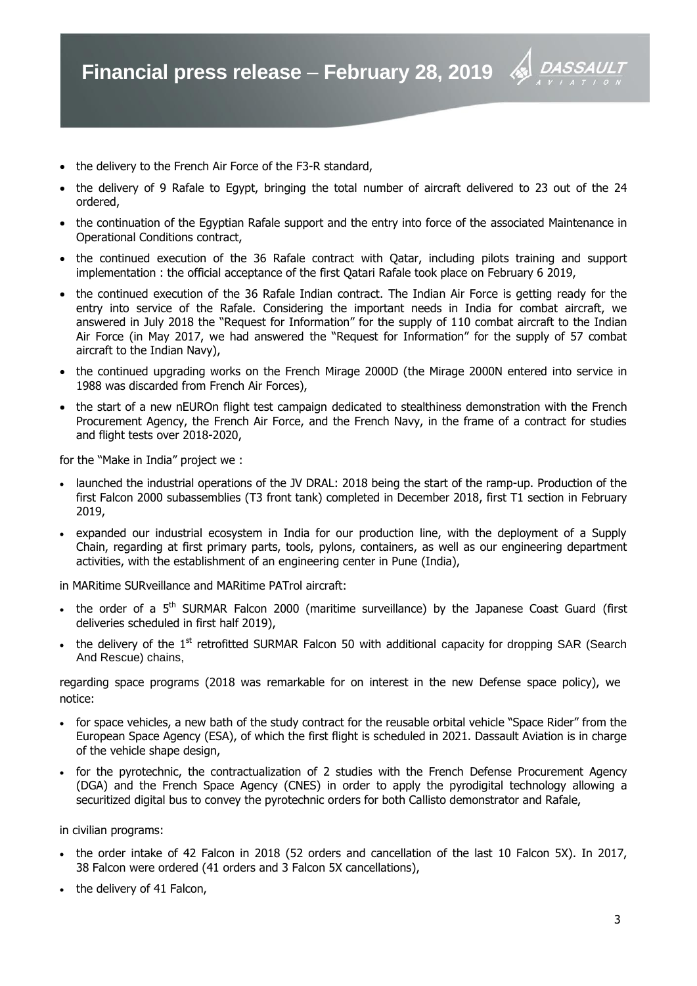

- the delivery of 9 Rafale to Egypt, bringing the total number of aircraft delivered to 23 out of the 24 ordered,
- the continuation of the Egyptian Rafale support and the entry into force of the associated Maintenance in Operational Conditions contract,
- the continued execution of the 36 Rafale contract with Qatar, including pilots training and support implementation : the official acceptance of the first Qatari Rafale took place on February 6 2019,
- the continued execution of the 36 Rafale Indian contract. The Indian Air Force is getting ready for the entry into service of the Rafale. Considering the important needs in India for combat aircraft, we answered in July 2018 the "Request for Information" for the supply of 110 combat aircraft to the Indian Air Force (in May 2017, we had answered the "Request for Information" for the supply of 57 combat aircraft to the Indian Navy),
- the continued upgrading works on the French Mirage 2000D (the Mirage 2000N entered into service in 1988 was discarded from French Air Forces),
- the start of a new nEUROn flight test campaign dedicated to stealthiness demonstration with the French Procurement Agency, the French Air Force, and the French Navy, in the frame of a contract for studies and flight tests over 2018-2020,

for the "Make in India" project we :

- launched the industrial operations of the JV DRAL: 2018 being the start of the ramp-up. Production of the first Falcon 2000 subassemblies (T3 front tank) completed in December 2018, first T1 section in February 2019,
- expanded our industrial ecosystem in India for our production line, with the deployment of a Supply Chain, regarding at first primary parts, tools, pylons, containers, as well as our engineering department activities, with the establishment of an engineering center in Pune (India),

in MARitime SURveillance and MARitime PATrol aircraft:

- $\bullet$  the order of a 5<sup>th</sup> SURMAR Falcon 2000 (maritime surveillance) by the Japanese Coast Guard (first deliveries scheduled in first half 2019),
- the delivery of the 1<sup>st</sup> retrofitted SURMAR Falcon 50 with additional capacity for dropping SAR (Search And Rescue) chains,

regarding space programs (2018 was remarkable for on interest in the new Defense space policy), we notice:

- for space vehicles, a new bath of the study contract for the reusable orbital vehicle "Space Rider" from the European Space Agency (ESA), of which the first flight is scheduled in 2021. Dassault Aviation is in charge of the vehicle shape design,
- for the pyrotechnic, the contractualization of 2 studies with the French Defense Procurement Agency (DGA) and the French Space Agency (CNES) in order to apply the pyrodigital technology allowing a securitized digital bus to convey the pyrotechnic orders for both Callisto demonstrator and Rafale,

in civilian programs:

- the order intake of 42 Falcon in 2018 (52 orders and cancellation of the last 10 Falcon 5X). In 2017, 38 Falcon were ordered (41 orders and 3 Falcon 5X cancellations),
- the delivery of 41 Falcon,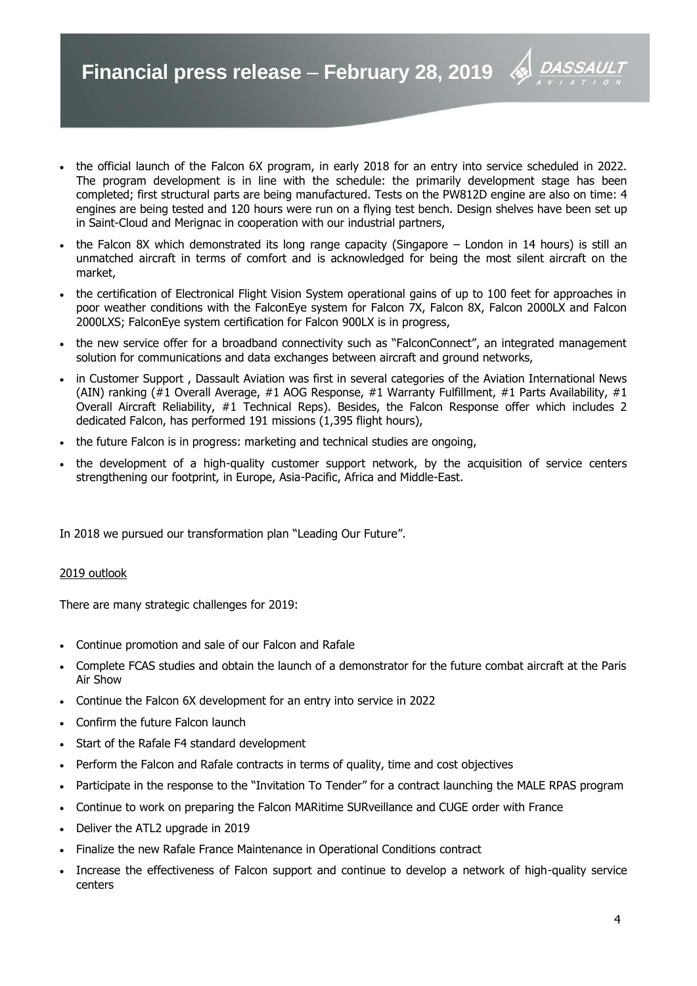- the official launch of the Falcon 6X program, in early 2018 for an entry into service scheduled in 2022. The program development is in line with the schedule: the primarily development stage has been completed; first structural parts are being manufactured. Tests on the PW812D engine are also on time: 4 engines are being tested and 120 hours were run on a flying test bench. Design shelves have been set up in Saint-Cloud and Merignac in cooperation with our industrial partners,
- the Falcon 8X which demonstrated its long range capacity (Singapore London in 14 hours) is still an unmatched aircraft in terms of comfort and is acknowledged for being the most silent aircraft on the market,
- the certification of Electronical Flight Vision System operational gains of up to 100 feet for approaches in poor weather conditions with the FalconEye system for Falcon 7X, Falcon 8X, Falcon 2000LX and Falcon 2000LXS; FalconEye system certification for Falcon 900LX is in progress,
- the new service offer for a broadband connectivity such as "FalconConnect", an integrated management solution for communications and data exchanges between aircraft and ground networks,
- in Customer Support , Dassault Aviation was first in several categories of the Aviation International News (AIN) ranking (#1 Overall Average, #1 AOG Response, #1 Warranty Fulfillment, #1 Parts Availability, #1 Overall Aircraft Reliability, #1 Technical Reps). Besides, the Falcon Response offer which includes 2 dedicated Falcon, has performed 191 missions (1,395 flight hours),
- the future Falcon is in progress: marketing and technical studies are ongoing,
- the development of a high-quality customer support network, by the acquisition of service centers strengthening our footprint, in Europe, Asia-Pacific, Africa and Middle-East.

In 2018 we pursued our transformation plan "Leading Our Future".

# 2019 outlook

There are many strategic challenges for 2019:

- Continue promotion and sale of our Falcon and Rafale
- Complete FCAS studies and obtain the launch of a demonstrator for the future combat aircraft at the Paris Air Show
- Continue the Falcon 6X development for an entry into service in 2022
- Confirm the future Falcon launch
- Start of the Rafale F4 standard development
- Perform the Falcon and Rafale contracts in terms of quality, time and cost objectives
- Participate in the response to the "Invitation To Tender" for a contract launching the MALE RPAS program
- Continue to work on preparing the Falcon MARitime SURveillance and CUGE order with France
- Deliver the ATL2 upgrade in 2019
- Finalize the new Rafale France Maintenance in Operational Conditions contract
- Increase the effectiveness of Falcon support and continue to develop a network of high-quality service centers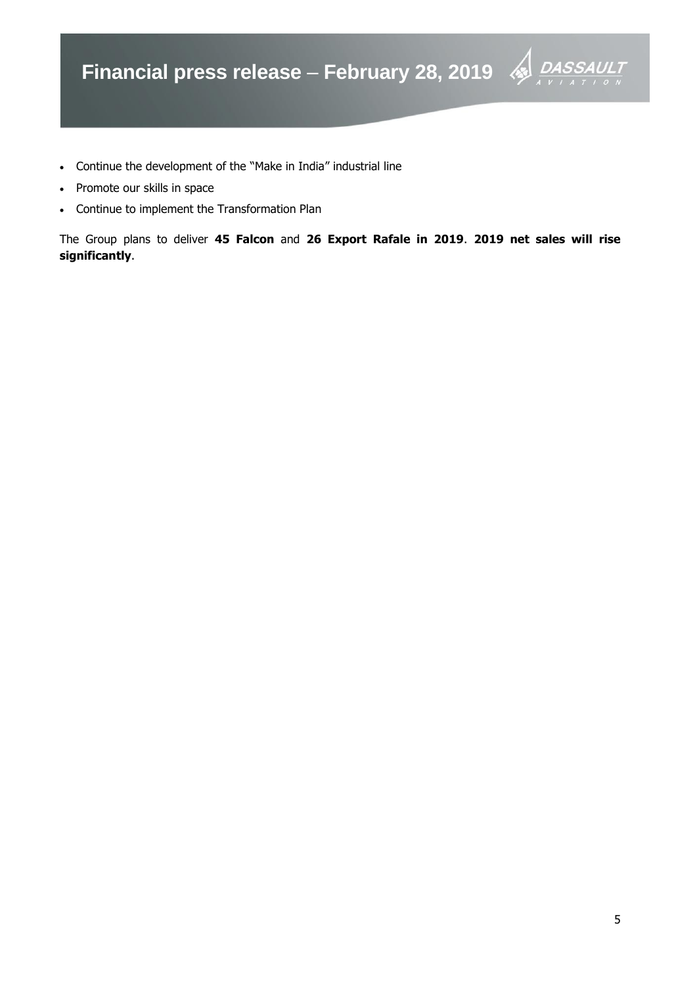

- Continue the development of the "Make in India" industrial line
- Promote our skills in space
- Continue to implement the Transformation Plan

The Group plans to deliver **45 Falcon** and **26 Export Rafale in 2019**. **2019 net sales will rise significantly**.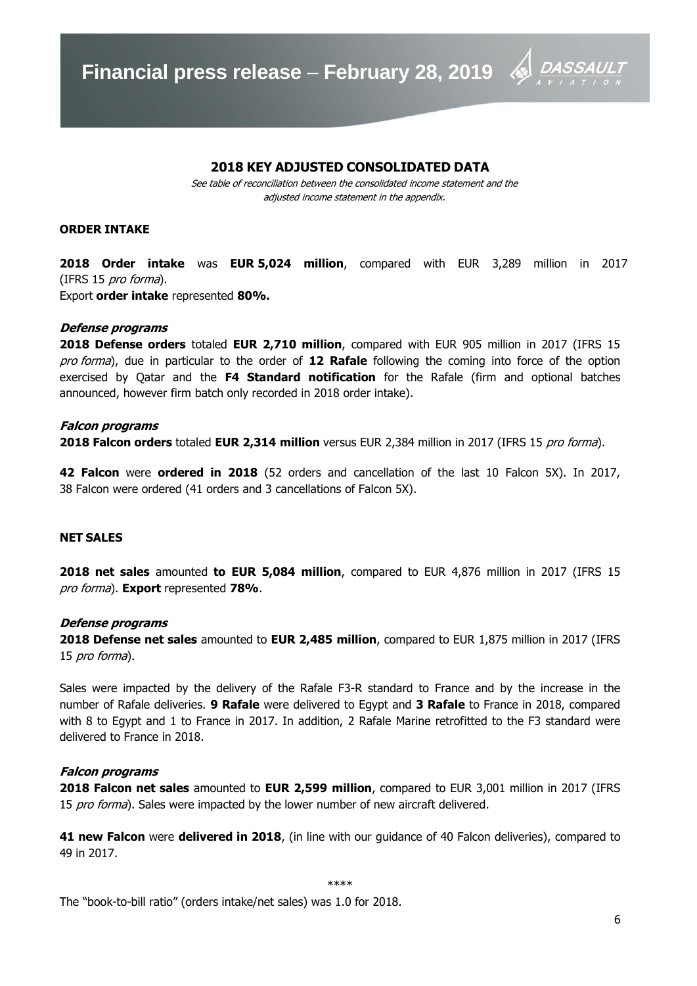

# **2018 KEY ADJUSTED CONSOLIDATED DATA**

See table of reconciliation between the consolidated income statement and the adjusted income statement in the appendix.

#### **ORDER INTAKE**

**2018 Order intake** was **EUR 5,024 million**, compared with EUR 3,289 million in 2017 (IFRS 15 pro forma).

Export **order intake** represented **80%.**

#### **Defense programs**

**2018 Defense orders** totaled **EUR 2,710 million**, compared with EUR 905 million in 2017 (IFRS 15 pro forma), due in particular to the order of **12 Rafale** following the coming into force of the option exercised by Qatar and the **F4 Standard notification** for the Rafale (firm and optional batches announced, however firm batch only recorded in 2018 order intake).

#### **Falcon programs**

**2018 Falcon orders** totaled **EUR 2,314 million** versus EUR 2,384 million in 2017 (IFRS 15 pro forma).

**42 Falcon** were **ordered in 2018** (52 orders and cancellation of the last 10 Falcon 5X). In 2017, 38 Falcon were ordered (41 orders and 3 cancellations of Falcon 5X).

# **NET SALES**

**2018 net sales** amounted **to EUR 5,084 million**, compared to EUR 4,876 million in 2017 (IFRS 15 pro forma). **Export** represented **78%**.

# **Defense programs**

**2018 Defense net sales** amounted to **EUR 2,485 million**, compared to EUR 1,875 million in 2017 (IFRS 15 *pro forma*).

Sales were impacted by the delivery of the Rafale F3-R standard to France and by the increase in the number of Rafale deliveries. **9 Rafale** were delivered to Egypt and **3 Rafale** to France in 2018, compared with 8 to Egypt and 1 to France in 2017. In addition, 2 Rafale Marine retrofitted to the F3 standard were delivered to France in 2018.

#### **Falcon programs**

**2018 Falcon net sales** amounted to **EUR 2,599 million**, compared to EUR 3,001 million in 2017 (IFRS 15 pro forma). Sales were impacted by the lower number of new aircraft delivered.

**41 new Falcon** were **delivered in 2018**, (in line with our guidance of 40 Falcon deliveries), compared to 49 in 2017.

The "book-to-bill ratio" (orders intake/net sales) was 1.0 for 2018.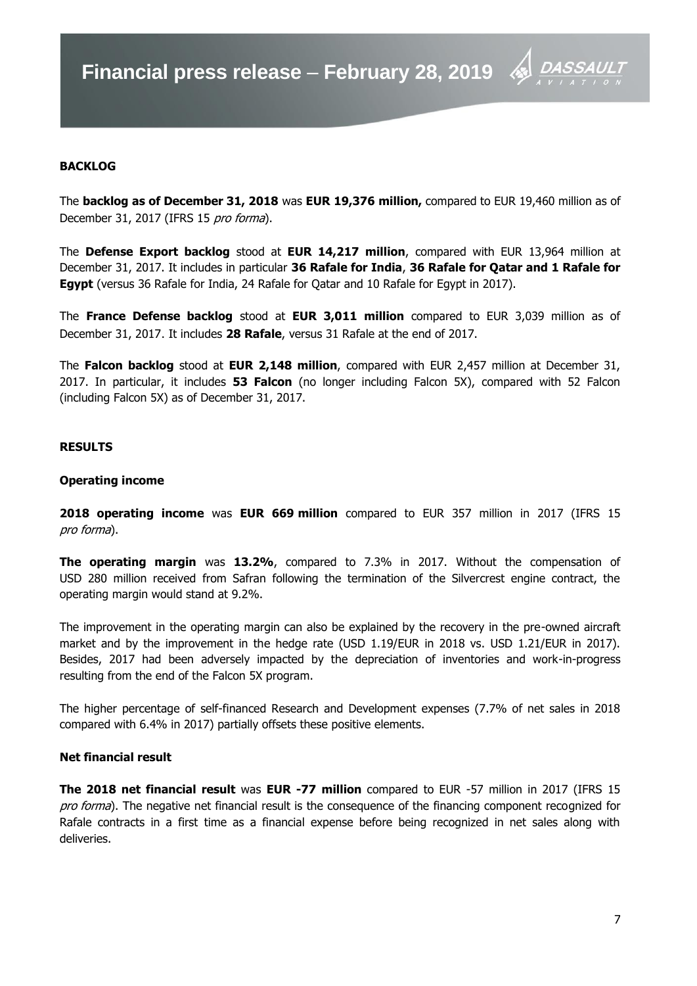

# **BACKLOG**

The **backlog as of December 31, 2018** was **EUR 19,376 million,** compared to EUR 19,460 million as of December 31, 2017 (IFRS 15 pro forma).

The **Defense Export backlog** stood at **EUR 14,217 million**, compared with EUR 13,964 million at December 31, 2017. It includes in particular **36 Rafale for India**, **36 Rafale for Qatar and 1 Rafale for Egypt** (versus 36 Rafale for India, 24 Rafale for Qatar and 10 Rafale for Egypt in 2017).

The **France Defense backlog** stood at **EUR 3,011 million** compared to EUR 3,039 million as of December 31, 2017. It includes **28 Rafale**, versus 31 Rafale at the end of 2017.

The **Falcon backlog** stood at **EUR 2,148 million**, compared with EUR 2,457 million at December 31, 2017. In particular, it includes **53 Falcon** (no longer including Falcon 5X), compared with 52 Falcon (including Falcon 5X) as of December 31, 2017.

#### **RESULTS**

#### **Operating income**

**2018 operating income** was **EUR 669 million** compared to EUR 357 million in 2017 (IFRS 15 pro forma).

**The operating margin** was **13.2%**, compared to 7.3% in 2017. Without the compensation of USD 280 million received from Safran following the termination of the Silvercrest engine contract, the operating margin would stand at 9.2%.

The improvement in the operating margin can also be explained by the recovery in the pre-owned aircraft market and by the improvement in the hedge rate (USD 1.19/EUR in 2018 vs. USD 1.21/EUR in 2017). Besides, 2017 had been adversely impacted by the depreciation of inventories and work-in-progress resulting from the end of the Falcon 5X program.

The higher percentage of self-financed Research and Development expenses (7.7% of net sales in 2018 compared with 6.4% in 2017) partially offsets these positive elements.

#### **Net financial result**

**The 2018 net financial result** was **EUR -77 million** compared to EUR -57 million in 2017 (IFRS 15 pro forma). The negative net financial result is the consequence of the financing component recognized for Rafale contracts in a first time as a financial expense before being recognized in net sales along with deliveries.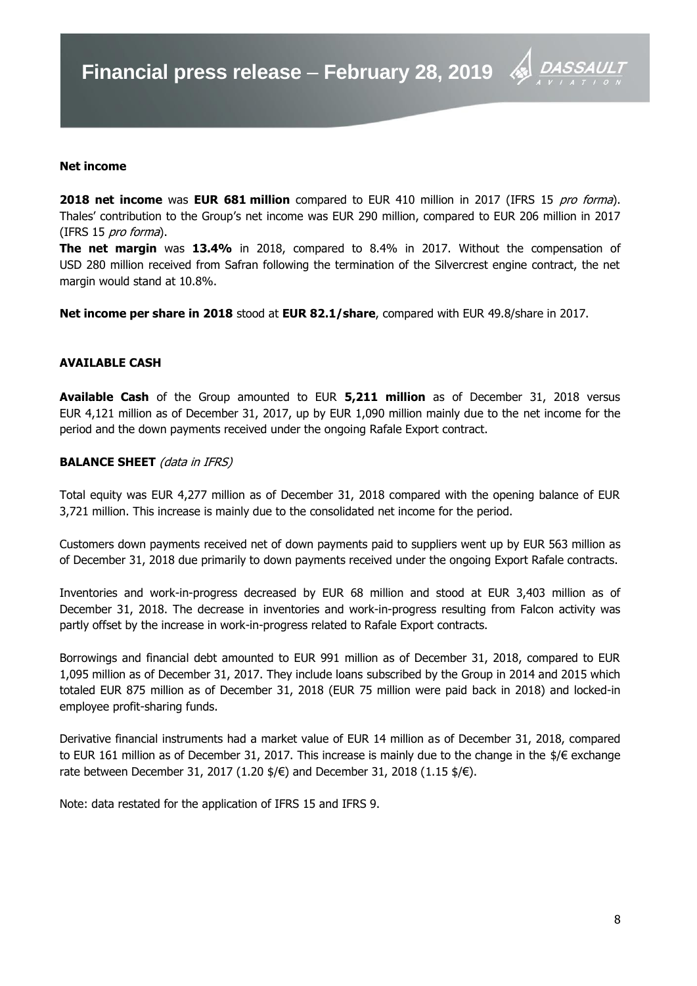

#### **Net income**

**2018 net income** was **EUR 681 million** compared to EUR 410 million in 2017 (IFRS 15 pro forma). Thales' contribution to the Group's net income was EUR 290 million, compared to EUR 206 million in 2017 (IFRS 15 pro forma).

**The net margin** was **13.4%** in 2018, compared to 8.4% in 2017. Without the compensation of USD 280 million received from Safran following the termination of the Silvercrest engine contract, the net margin would stand at 10.8%.

**Net income per share in 2018** stood at **EUR 82.1/share**, compared with EUR 49.8/share in 2017.

#### **AVAILABLE CASH**

**Available Cash** of the Group amounted to EUR **5,211 million** as of December 31, 2018 versus EUR 4,121 million as of December 31, 2017, up by EUR 1,090 million mainly due to the net income for the period and the down payments received under the ongoing Rafale Export contract.

#### **BALANCE SHEET** (data in IFRS)

Total equity was EUR 4,277 million as of December 31, 2018 compared with the opening balance of EUR 3,721 million. This increase is mainly due to the consolidated net income for the period.

Customers down payments received net of down payments paid to suppliers went up by EUR 563 million as of December 31, 2018 due primarily to down payments received under the ongoing Export Rafale contracts.

Inventories and work-in-progress decreased by EUR 68 million and stood at EUR 3,403 million as of December 31, 2018. The decrease in inventories and work-in-progress resulting from Falcon activity was partly offset by the increase in work-in-progress related to Rafale Export contracts.

Borrowings and financial debt amounted to EUR 991 million as of December 31, 2018, compared to EUR 1,095 million as of December 31, 2017. They include loans subscribed by the Group in 2014 and 2015 which totaled EUR 875 million as of December 31, 2018 (EUR 75 million were paid back in 2018) and locked-in employee profit-sharing funds.

Derivative financial instruments had a market value of EUR 14 million as of December 31, 2018, compared to EUR 161 million as of December 31, 2017. This increase is mainly due to the change in the \$/€ exchange rate between December 31, 2017 (1.20  $\frac{4}{5}$ ) and December 31, 2018 (1.15  $\frac{4}{5}$ ).

Note: data restated for the application of IFRS 15 and IFRS 9.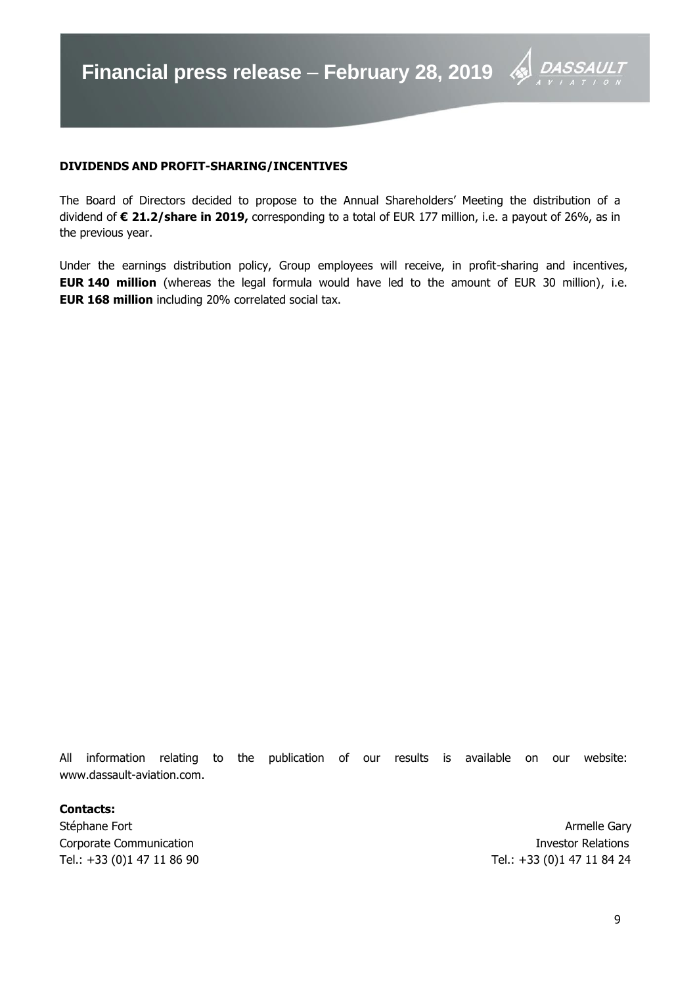

# **DIVIDENDS AND PROFIT-SHARING/INCENTIVES**

The Board of Directors decided to propose to the Annual Shareholders' Meeting the distribution of a dividend of **€ 21.2/share in 2019,** corresponding to a total of EUR 177 million, i.e. a payout of 26%, as in the previous year.

Under the earnings distribution policy, Group employees will receive, in profit-sharing and incentives, **EUR 140 million** (whereas the legal formula would have led to the amount of EUR 30 million), i.e. **EUR 168 million** including 20% correlated social tax.

All information relating to the publication of our results is available on our website: www.dassault-aviation.com.

#### **Contacts:**

Stéphane Fort **Armelle Gary** Corporate Communication **Investor Relations** Tel.: +33 (0)1 47 11 86 90 Tel.: +33 (0)1 47 11 84 24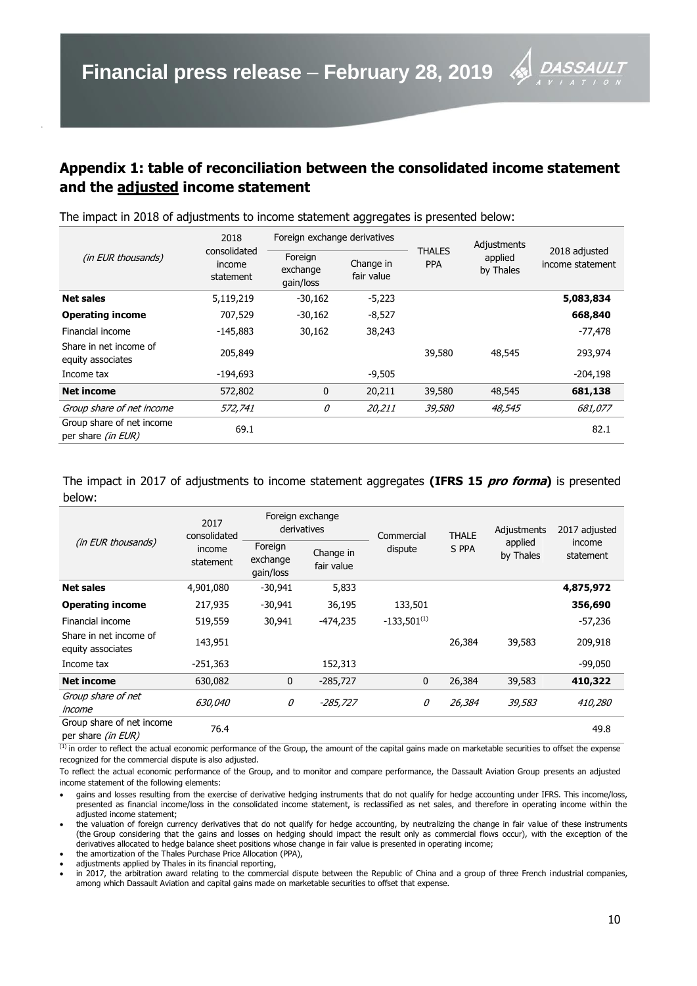# **Appendix 1: table of reconciliation between the consolidated income statement and the adjusted income statement**

| (in EUR thousands)                                     | 2018                                | Foreign exchange derivatives     |                         |                             | Adjustments<br>applied<br>by Thales | 2018 adjusted<br>income statement |
|--------------------------------------------------------|-------------------------------------|----------------------------------|-------------------------|-----------------------------|-------------------------------------|-----------------------------------|
|                                                        | consolidated<br>income<br>statement | Foreign<br>exchange<br>gain/loss | Change in<br>fair value | <b>THALES</b><br><b>PPA</b> |                                     |                                   |
| <b>Net sales</b>                                       | 5,119,219                           | $-30,162$                        | $-5,223$                |                             |                                     | 5,083,834                         |
| <b>Operating income</b>                                | 707,529                             | $-30,162$                        | $-8,527$                |                             |                                     | 668,840                           |
| Financial income                                       | $-145,883$                          | 30,162                           | 38,243                  |                             |                                     | $-77,478$                         |
| Share in net income of<br>equity associates            | 205,849                             |                                  |                         | 39,580                      | 48,545                              | 293,974                           |
| Income tax                                             | -194,693                            |                                  | $-9,505$                |                             |                                     | $-204,198$                        |
| Net income                                             | 572,802                             | $\mathbf{0}$                     | 20,211                  | 39,580                      | 48,545                              | 681,138                           |
| Group share of net income                              | 572,741                             | 0                                | 20,211                  | <i>39,580</i>               | 48,545                              | 681,077                           |
| Group share of net income<br>per share <i>(in EUR)</i> | 69.1                                |                                  |                         |                             |                                     | 82.1                              |

The impact in 2018 of adjustments to income statement aggregates is presented below:

The impact in 2017 of adjustments to income statement aggregates **(IFRS 15 pro forma)** is presented below:

| (in EUR thousands)                              | 2017<br>consolidated<br>income<br>statement | Foreign exchange<br>derivatives  |                         | Commercial       | <b>THALE</b> | Adjustments          | 2017 adjusted       |
|-------------------------------------------------|---------------------------------------------|----------------------------------|-------------------------|------------------|--------------|----------------------|---------------------|
|                                                 |                                             | Foreign<br>exchange<br>gain/loss | Change in<br>fair value | dispute          | S PPA        | applied<br>by Thales | income<br>statement |
| <b>Net sales</b>                                | 4,901,080                                   | $-30,941$                        | 5,833                   |                  |              |                      | 4,875,972           |
| <b>Operating income</b>                         | 217,935                                     | $-30,941$                        | 36,195                  | 133,501          |              |                      | 356,690             |
| Financial income                                | 519,559                                     | 30,941                           | $-474,235$              | $-133.501^{(1)}$ |              |                      | $-57,236$           |
| Share in net income of<br>equity associates     | 143,951                                     |                                  |                         |                  | 26,384       | 39,583               | 209,918             |
| Income tax                                      | $-251,363$                                  |                                  | 152,313                 |                  |              |                      | $-99,050$           |
| <b>Net income</b>                               | 630,082                                     | 0                                | $-285,727$              | $\mathbf 0$      | 26,384       | 39,583               | 410,322             |
| Group share of net<br>income                    | 630,040                                     | 0                                | -285,727                | 0                | 26,384       | 39,583               | 410,280             |
| Group share of net income<br>per share (in EUR) | 76.4                                        |                                  |                         |                  |              |                      | 49.8                |

 $\overline{^{(1)}}$  in order to reflect the actual economic performance of the Group, the amount of the capital gains made on marketable securities to offset the expense recognized for the commercial dispute is also adjusted.

To reflect the actual economic performance of the Group, and to monitor and compare performance, the Dassault Aviation Group presents an adjusted income statement of the following elements:

 gains and losses resulting from the exercise of derivative hedging instruments that do not qualify for hedge accounting under IFRS. This income/loss, presented as financial income/loss in the consolidated income statement, is reclassified as net sales, and therefore in operating income within the adjusted income statement;

 the valuation of foreign currency derivatives that do not qualify for hedge accounting, by neutralizing the change in fair value of these instruments (the Group considering that the gains and losses on hedging should impact the result only as commercial flows occur), with the exception of the derivatives allocated to hedge balance sheet positions whose change in fair value is presented in operating income;

 the amortization of the Thales Purchase Price Allocation (PPA), adjustments applied by Thales in its financial reporting,

 in 2017, the arbitration award relating to the commercial dispute between the Republic of China and a group of three French industrial companies, among which Dassault Aviation and capital gains made on marketable securities to offset that expense.